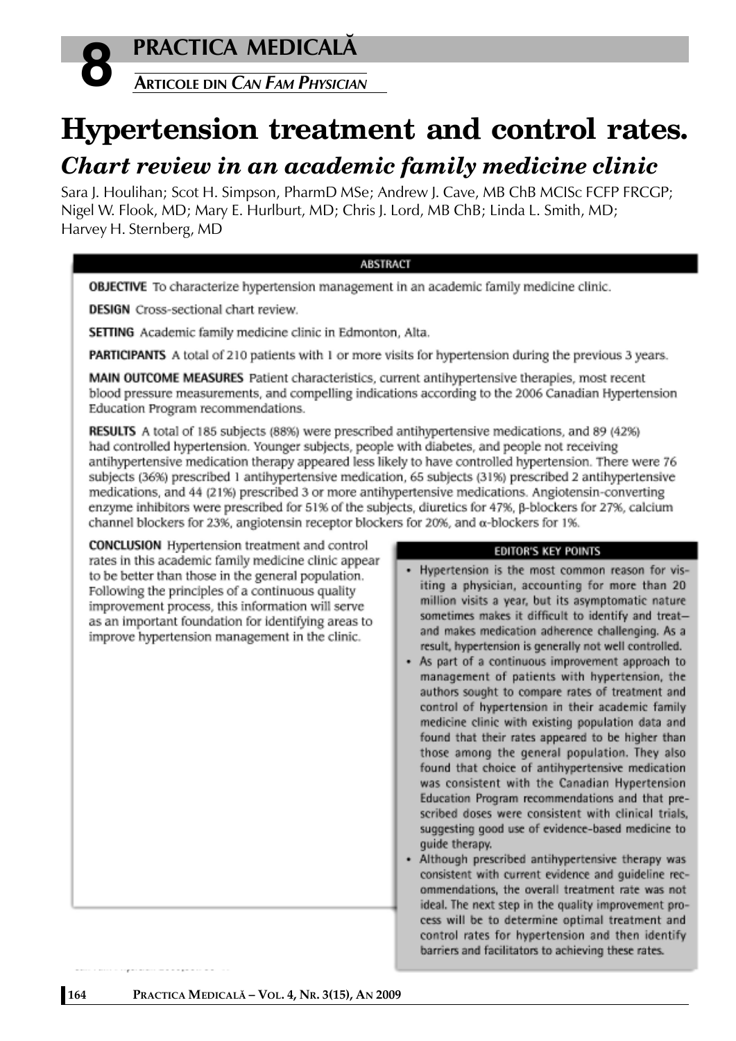



# **Hypertension treatment and control rates.**

## *Chart review in an academic family medicine clinic*

Sara J. Houlihan; Scot H. Simpson, PharmD MSe; Andrew J. Cave, MB ChB MCISc FCFP FRCGP; Nigel W. Flook, MD; Mary E. Hurlburt, MD; Chris J. Lord, MB ChB; Linda L. Smith, MD; Harvey H. Sternberg, MD

## **ABSTRACT**

OBJECTIVE To characterize hypertension management in an academic family medicine clinic.

**DESIGN** Cross-sectional chart review.

SETTING Academic family medicine clinic in Edmonton, Alta.

PARTICIPANTS A total of 210 patients with 1 or more visits for hypertension during the previous 3 years.

MAIN OUTCOME MEASURES Patient characteristics, current antihypertensive therapies, most recent blood pressure measurements, and compelling indications according to the 2006 Canadian Hypertension Education Program recommendations.

RESULTS A total of 185 subjects (88%) were prescribed antihypertensive medications, and 89 (42%) had controlled hypertension. Younger subjects, people with diabetes, and people not receiving antihypertensive medication therapy appeared less likely to have controlled hypertension. There were 76 subjects (36%) prescribed 1 antihypertensive medication, 65 subjects (31%) prescribed 2 antihypertensive medications, and 44 (21%) prescribed 3 or more antihypertensive medications. Angiotensin-converting enzyme inhibitors were prescribed for 51% of the subjects, diuretics for 47%,  $\beta$ -blockers for 27%, calcium channel blockers for 23%, angiotensin receptor blockers for 20%, and  $\alpha$ -blockers for 1%.

**CONCLUSION** Hypertension treatment and control rates in this academic family medicine clinic appear to be better than those in the general population. Following the principles of a continuous quality improvement process, this information will serve as an important foundation for identifying areas to improve hypertension management in the clinic.

#### **EDITOR'S KEY POINTS**

- Hypertension is the most common reason for visiting a physician, accounting for more than 20 million visits a year, but its asymptomatic nature sometimes makes it difficult to identify and treatand makes medication adherence challenging. As a result, hypertension is generally not well controlled.
- As part of a continuous improvement approach to management of patients with hypertension, the authors sought to compare rates of treatment and control of hypertension in their academic family medicine clinic with existing population data and found that their rates appeared to be higher than those among the general population. They also found that choice of antihypertensive medication was consistent with the Canadian Hypertension Education Program recommendations and that prescribed doses were consistent with clinical trials, suggesting good use of evidence-based medicine to quide therapy.
- Although prescribed antihypertensive therapy was consistent with current evidence and quideline recommendations, the overall treatment rate was not ideal. The next step in the quality improvement process will be to determine optimal treatment and control rates for hypertension and then identify barriers and facilitators to achieving these rates.

.<br>Naskiĝoj de la provincia de la provincia de la provincia de la provincia de la provincia de la provincia de la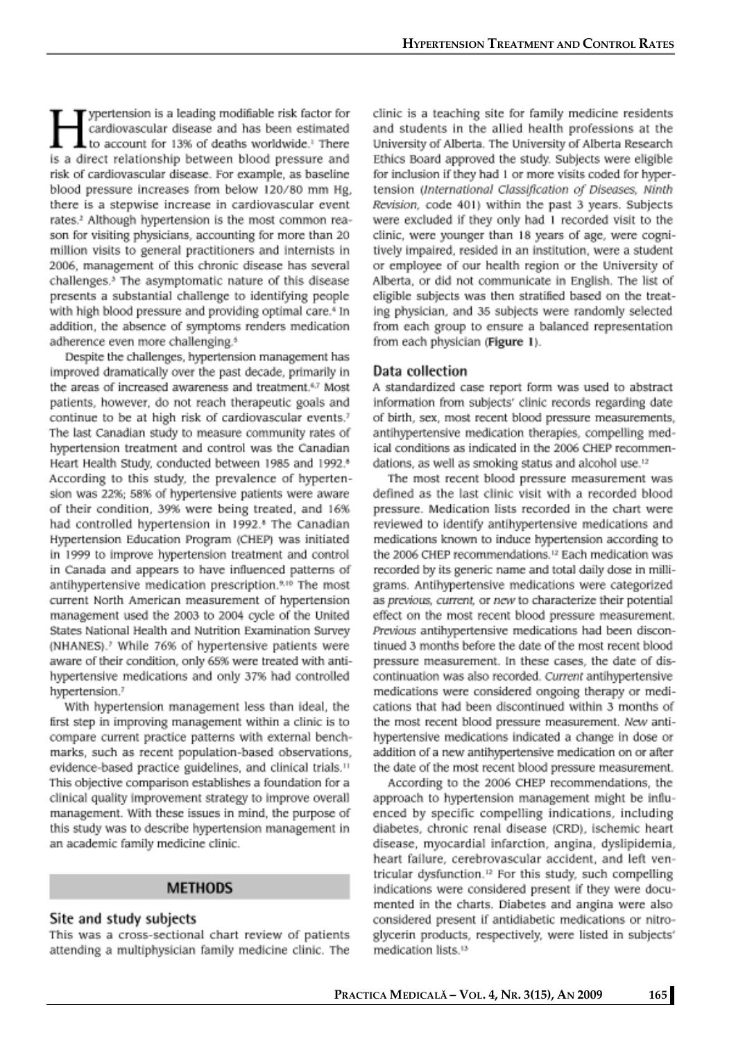ypertension is a leading modifiable risk factor for cardiovascular disease and has been estimated to account for 13% of deaths worldwide.<sup>1</sup> There is a direct relationship between blood pressure and risk of cardiovascular disease. For example, as baseline blood pressure increases from below 120/80 mm Hg. there is a stepwise increase in cardiovascular event rates.<sup>2</sup> Although hypertension is the most common reason for visiting physicians, accounting for more than 20 million visits to general practitioners and internists in 2006, management of this chronic disease has several challenges.<sup>3</sup> The asymptomatic nature of this disease presents a substantial challenge to identifying people with high blood pressure and providing optimal care.<sup>4</sup> In addition, the absence of symptoms renders medication adherence even more challenging.<sup>6</sup>

Despite the challenges, hypertension management has improved dramatically over the past decade, primarily in the areas of increased awareness and treatment.<sup>6,7</sup> Most patients, however, do not reach therapeutic goals and continue to be at high risk of cardiovascular events.<sup>7</sup> The last Canadian study to measure community rates of hypertension treatment and control was the Canadian Heart Health Study, conducted between 1985 and 1992.<sup>8</sup> According to this study, the prevalence of hypertension was 22%; 58% of hypertensive patients were aware of their condition, 39% were being treated, and 16% had controlled hypertension in 1992.<sup>8</sup> The Canadian Hypertension Education Program (CHEP) was initiated in 1999 to improve hypertension treatment and control in Canada and appears to have influenced patterns of antihypertensive medication prescription.<sup>9,10</sup> The most current North American measurement of hypertension management used the 2003 to 2004 cycle of the United States National Health and Nutrition Examination Survey (NHANES).<sup>7</sup> While 76% of hypertensive patients were aware of their condition, only 65% were treated with antihypertensive medications and only 37% had controlled hypertension.<sup>7</sup>

With hypertension management less than ideal, the first step in improving management within a clinic is to compare current practice patterns with external benchmarks, such as recent population-based observations, evidence-based practice guidelines, and clinical trials.<sup>11</sup> This objective comparison establishes a foundation for a clinical quality improvement strategy to improve overall management. With these issues in mind, the purpose of this study was to describe hypertension management in an academic family medicine clinic.

#### **METHODS**

#### Site and study subjects

This was a cross-sectional chart review of patients attending a multiphysician family medicine clinic. The clinic is a teaching site for family medicine residents and students in the allied health professions at the University of Alberta. The University of Alberta Research Ethics Board approved the study. Subjects were eligible for inclusion if they had 1 or more visits coded for hypertension (International Classification of Diseases, Ninth Revision, code 401) within the past 3 years. Subjects were excluded if they only had 1 recorded visit to the clinic, were younger than 18 years of age, were cognitively impaired, resided in an institution, were a student or employee of our health region or the University of Alberta, or did not communicate in English. The list of eligible subjects was then stratified based on the treating physician, and 35 subjects were randomly selected from each group to ensure a balanced representation from each physician (Figure 1).

#### Data collection

A standardized case report form was used to abstract information from subjects' clinic records regarding date of birth, sex, most recent blood pressure measurements, antihypertensive medication therapies, compelling medical conditions as indicated in the 2006 CHEP recommendations, as well as smoking status and alcohol use.<sup>12</sup>

The most recent blood pressure measurement was defined as the last clinic visit with a recorded blood pressure. Medication lists recorded in the chart were reviewed to identify antihypertensive medications and medications known to induce hypertension according to the 2006 CHEP recommendations.<sup>12</sup> Each medication was recorded by its generic name and total daily dose in milligrams. Antihypertensive medications were categorized as previous, current, or new to characterize their potential effect on the most recent blood pressure measurement. Previous antihypertensive medications had been discontinued 3 months before the date of the most recent blood pressure measurement. In these cases, the date of discontinuation was also recorded. Current antihypertensive medications were considered ongoing therapy or medications that had been discontinued within 3 months of the most recent blood pressure measurement. New antihypertensive medications indicated a change in dose or addition of a new antihypertensive medication on or after the date of the most recent blood pressure measurement.

According to the 2006 CHEP recommendations, the approach to hypertension management might be influenced by specific compelling indications, including diabetes, chronic renal disease (CRD), ischemic heart disease, myocardial infarction, angina, dyslipidemia, heart failure, cerebrovascular accident, and left ventricular dysfunction.<sup>12</sup> For this study, such compelling indications were considered present if they were documented in the charts. Diabetes and angina were also considered present if antidiabetic medications or nitroglycerin products, respectively, were listed in subjects' medication lists.<sup>13</sup>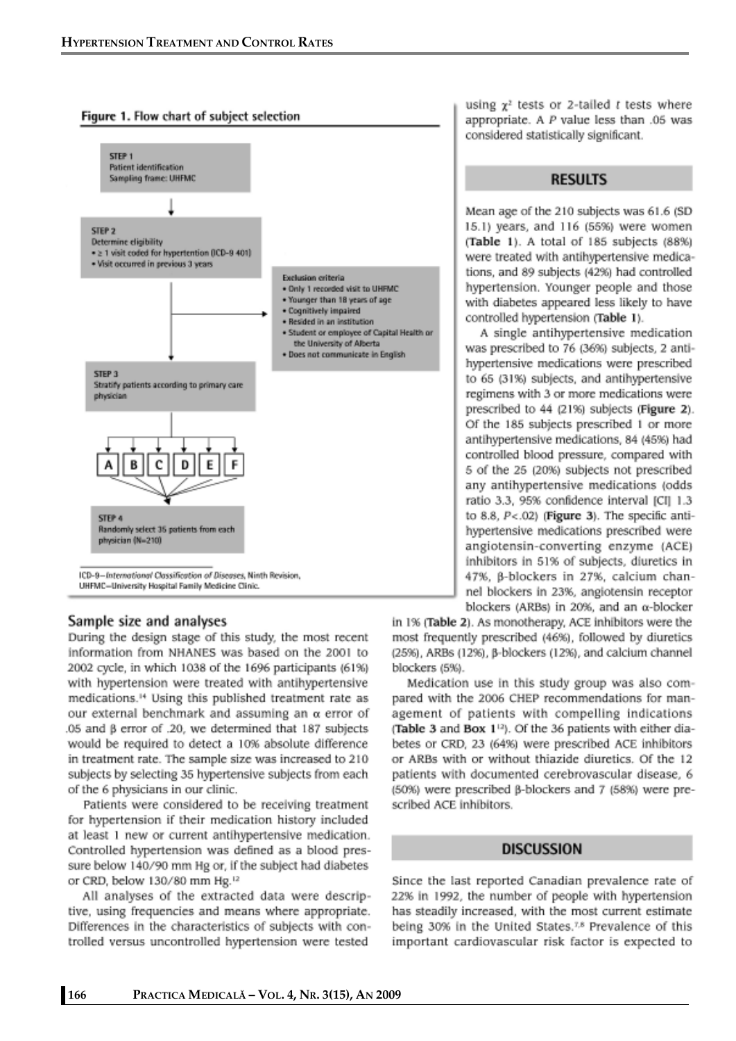



#### Sample size and analyses

During the design stage of this study, the most recent information from NHANES was based on the 2001 to 2002 cycle, in which 1038 of the 1696 participants (61%) with hypertension were treated with antihypertensive medications.<sup>14</sup> Using this published treatment rate as our external benchmark and assuming an  $\alpha$  error of .05 and  $\beta$  error of .20, we determined that 187 subjects would be required to detect a 10% absolute difference in treatment rate. The sample size was increased to 210 subjects by selecting 35 hypertensive subjects from each of the 6 physicians in our clinic.

Patients were considered to be receiving treatment for hypertension if their medication history included at least 1 new or current antihypertensive medication. Controlled hypertension was defined as a blood pressure below 140/90 mm Hg or, if the subject had diabetes or CRD, below 130/80 mm Hg.<sup>12</sup>

All analyses of the extracted data were descriptive, using frequencies and means where appropriate. Differences in the characteristics of subjects with controlled versus uncontrolled hypertension were tested

using  $\chi^2$  tests or 2-tailed t tests where appropriate. A  $P$  value less than .05 was considered statistically significant.

### **RESULTS**

Mean age of the 210 subjects was 61.6 (SD 15.1) years, and 116 (55%) were women (Table 1). A total of 185 subjects (88%) were treated with antihypertensive medications, and 89 subjects (42%) had controlled hypertension. Younger people and those with diabetes appeared less likely to have controlled hypertension (Table 1).

A single antihypertensive medication was prescribed to 76 (36%) subjects, 2 antihypertensive medications were prescribed to 65 (31%) subjects, and antihypertensive regimens with 3 or more medications were prescribed to 44 (21%) subjects (Figure 2). Of the 185 subjects prescribed 1 or more antihypertensive medications, 84 (45%) had controlled blood pressure, compared with 5 of the 25 (20%) subjects not prescribed any antihypertensive medications (odds ratio 3.3, 95% confidence interval [CI] 1.3 to 8.8,  $P < .02$ ) (Figure 3). The specific antihypertensive medications prescribed were angiotensin-converting enzyme (ACE) inhibitors in 51% of subjects, diuretics in 47%, β-blockers in 27%, calcium channel blockers in 23%, angiotensin receptor blockers (ARBs) in 20%, and an  $\alpha$ -blocker

in 1% (Table 2). As monotherapy, ACE inhibitors were the most frequently prescribed (46%), followed by diuretics (25%), ARBs (12%), B-blockers (12%), and calcium channel blockers (5%).

Medication use in this study group was also compared with the 2006 CHEP recommendations for management of patients with compelling indications (Table 3 and Box 1<sup>12</sup>). Of the 36 patients with either diabetes or CRD, 23 (64%) were prescribed ACE inhibitors or ARBs with or without thiazide diuretics. Of the 12 patients with documented cerebrovascular disease, 6 (50%) were prescribed  $\beta$ -blockers and 7 (58%) were prescribed ACE inhibitors.

## **DISCUSSION**

Since the last reported Canadian prevalence rate of 22% in 1992, the number of people with hypertension has steadily increased, with the most current estimate being 30% in the United States.<sup>7,8</sup> Prevalence of this important cardiovascular risk factor is expected to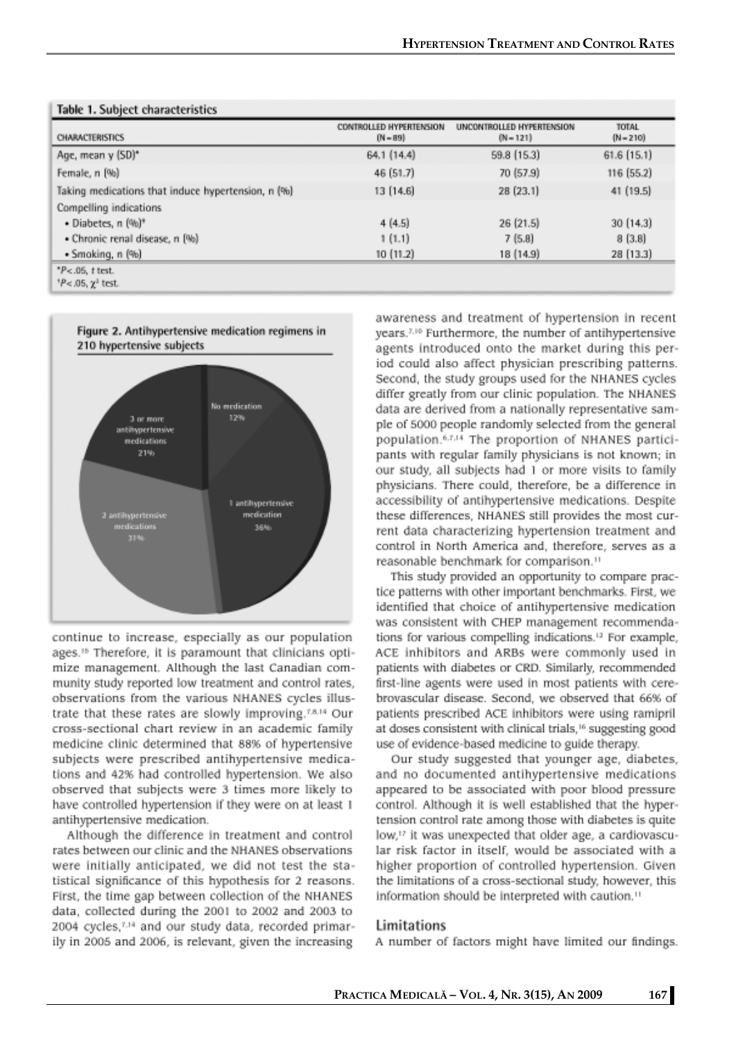| CHARACTERISTICS                                    | CONTROLLED HYPERTENSION<br>$[N - 89]$ | UNCONTROLLED HYPERTENSION<br>$(N-121)$ | <b>TOTAL</b><br>$(N - 210)$ |  |
|----------------------------------------------------|---------------------------------------|----------------------------------------|-----------------------------|--|
| Age, mean y (SD)*                                  | 64.1 (14.4)                           | 59.8 (15.3)                            | $61.6$ $(15.1)$             |  |
| Female, n [%]                                      | 46 (51.7)                             | 70 (57.9)                              | 116 (55.2)                  |  |
| Taking medications that induce hypertension, n (%) | 13 (14.6)                             | 28 (23.1)                              | 41 (19.5)                   |  |
| Compelling indications                             |                                       |                                        |                             |  |
| · Diabetes, n (%)*                                 | 4(4.5)                                | 26(21.5)                               | 30(14.3)                    |  |
| • Chronic renal disease, n [%]                     | 1(1.1)                                | 7(5.8)                                 | 8(3.8)                      |  |
| • Smoking, n (%)                                   | 10 (11.2)                             | 18 (14.9)                              | 28 (13.3)                   |  |
| $P$ <.05, t test.                                  |                                       |                                        |                             |  |
| $^{1}P$ < .05, $\chi^{2}$ test.                    |                                       |                                        |                             |  |

## **Technology** Codebase above attended as



continue to increase, especially as our population ages.<sup>15</sup> Therefore, it is paramount that clinicians optimize management. Although the last Canadian community study reported low treatment and control rates, observations from the various NHANES cycles illustrate that these rates are slowly improving.<sup>7,8,14</sup> Our cross-sectional chart review in an academic family medicine clinic determined that 88% of hypertensive subjects were prescribed antihypertensive medications and 42% had controlled hypertension. We also observed that subjects were 3 times more likely to have controlled hypertension if they were on at least 1 antihypertensive medication.

Although the difference in treatment and control rates between our clinic and the NHANES observations were initially anticipated, we did not test the statistical significance of this hypothesis for 2 reasons. First, the time gap between collection of the NHANES data, collected during the 2001 to 2002 and 2003 to 2004 cycles,7,14 and our study data, recorded primarily in 2005 and 2006, is relevant, given the increasing

awareness and treatment of hypertension in recent years.<sup>7,10</sup> Furthermore, the number of antihypertensive agents introduced onto the market during this period could also affect physician prescribing patterns. Second, the study groups used for the NHANES cycles differ greatly from our clinic population. The NHANES data are derived from a nationally representative sample of 5000 people randomly selected from the general population.<sup>6.7.14</sup> The proportion of NHANES participants with regular family physicians is not known; in our study, all subjects had 1 or more visits to family physicians. There could, therefore, be a difference in accessibility of antihypertensive medications. Despite these differences, NHANES still provides the most current data characterizing hypertension treatment and control in North America and, therefore, serves as a reasonable benchmark for comparison.<sup>11</sup>

This study provided an opportunity to compare practice patterns with other important benchmarks. First, we identified that choice of antihypertensive medication was consistent with CHEP management recommendations for various compelling indications.<sup>12</sup> For example, ACE inhibitors and ARBs were commonly used in patients with diabetes or CRD. Similarly, recommended first-line agents were used in most patients with cerebrovascular disease. Second, we observed that 66% of patients prescribed ACE inhibitors were using ramipril at doses consistent with clinical trials,<sup>16</sup> suggesting good use of evidence-based medicine to guide therapy.

Our study suggested that younger age, diabetes, and no documented antihypertensive medications appeared to be associated with poor blood pressure control. Although it is well established that the hypertension control rate among those with diabetes is quite low,<sup>17</sup> it was unexpected that older age, a cardiovascular risk factor in itself, would be associated with a higher proportion of controlled hypertension. Given the limitations of a cross-sectional study, however, this information should be interpreted with caution.<sup>11</sup>

## Limitations

A number of factors might have limited our findings.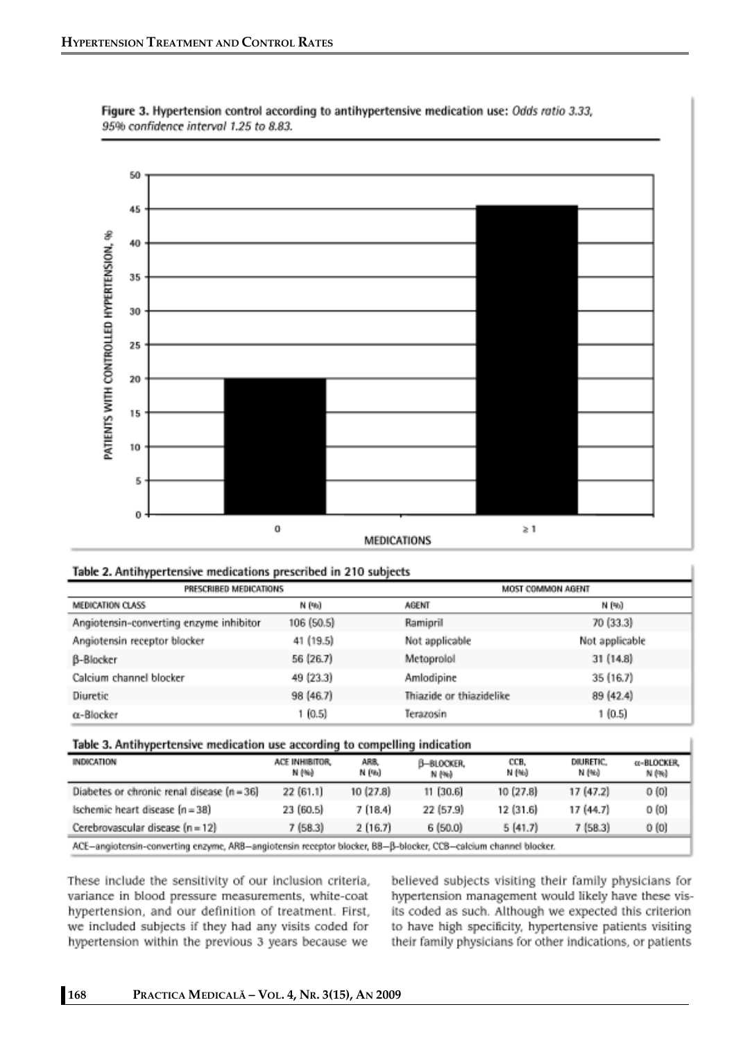

Figure 3. Hypertension control according to antihypertensive medication use: Odds ratio 3.33, 95% confidence interval 1.25 to 8.83.

#### Table 2. Antihypertensive medications prescribed in 210 subjects

| . .<br>PRESCRIBED MEDICATIONS           |            |                          | MOST COMMON AGENT |  |  |  |
|-----------------------------------------|------------|--------------------------|-------------------|--|--|--|
| <b>MEDICATION CLASS</b>                 | N (%)      | AGENT                    | N (%)             |  |  |  |
| Angiotensin-converting enzyme inhibitor | 106 (50.5) | Ramipril                 | 70 (33.3)         |  |  |  |
| Angiotensin receptor blocker            | 41 (19.5)  | Not applicable           | Not applicable    |  |  |  |
| <b>B-Blocker</b>                        | 56 (26.7)  | Metoprolol               | 31 (14.8)         |  |  |  |
| Calcium channel blocker                 | 49 (23.3)  | Amlodipine               | 35 (16.7)         |  |  |  |
| Diuretic                                | 98 (46.7)  | Thiazide or thiazidelike | 89 (42.4)         |  |  |  |
| $\alpha$ -Blocker                       | 1 (0.5)    | Terazosin                | 1(0.5)            |  |  |  |

#### Table 3. Antihypertensive medication use according to compelling indication

| INDICATION                                                                                                      | ACE INHIBITOR.<br>N (%) | ARB,<br>N (%) | B-BLOCKER,<br>N (%) | CCB.<br>N (%) | DIIURETIC.<br>N (%) | a-BLOCKER,<br>N (%) |  |
|-----------------------------------------------------------------------------------------------------------------|-------------------------|---------------|---------------------|---------------|---------------------|---------------------|--|
| Diabetes or chronic renal disease (n = 36)                                                                      | 22 (61.1)               | 10(27.8)      | 11 (30.6)           | 10(27.8)      | 17 (47.2)           | 0(0)                |  |
| Ischemic heart disease (n = 38)                                                                                 | 23 (60.5)               | 7(18.4)       | 22 (57.9)           | 12(31.6)      | 17 (44.7)           | 0(0)                |  |
| Cerebrovascular disease (n = 12)                                                                                | 7(58.3)                 | 2(16.7)       | 6 (50.0)            | 5(41.7)       | 7(58.3)             | 0(0)                |  |
| ACE-angintensin-converting enzyme. ARR-angintensin recentor blocker. RR-B-blocker. CCB-calcium channel blocker. |                         |               |                     |               |                     |                     |  |

These include the sensitivity of our inclusion criteria, variance in blood pressure measurements, white-coat hypertension, and our definition of treatment. First, we included subjects if they had any visits coded for hypertension within the previous 3 years because we

believed subjects visiting their family physicians for hypertension management would likely have these visits coded as such. Although we expected this criterion to have high specificity, hypertensive patients visiting their family physicians for other indications, or patients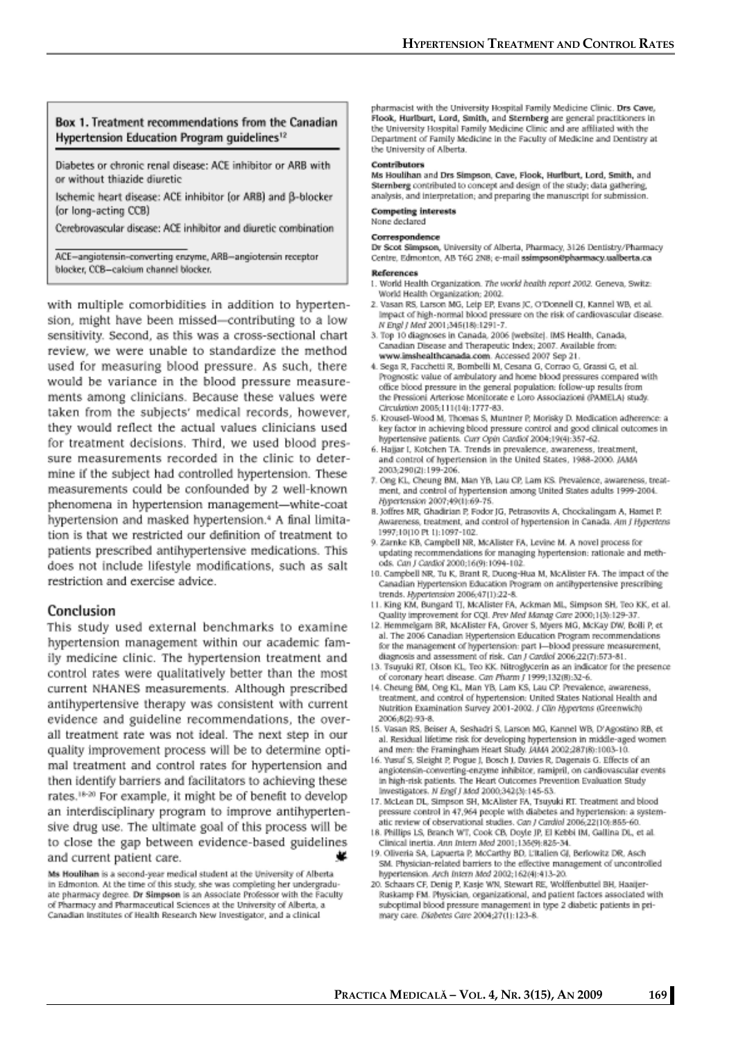#### Box 1. Treatment recommendations from the Canadian Hypertension Education Program quidelines<sup>12</sup>

Diabetes or chronic renal disease: ACE inhibitor or ARB with or without thiazide diuretic

Ischemic heart disease: ACE inhibitor (or ARB) and B-blocker (or long-acting CCB)

Cerebrovascular disease: ACE inhibitor and diuretic combination

ACE-angiotensin-converting enzyme, ARB-angiotensin receptor blocker, CCB-calcium channel blocker.

with multiple comorbidities in addition to hypertension, might have been missed-contributing to a low sensitivity. Second, as this was a cross-sectional chart review, we were unable to standardize the method used for measuring blood pressure. As such, there would be variance in the blood pressure measurements among clinicians. Because these values were taken from the subjects' medical records, however, they would reflect the actual values clinicians used for treatment decisions. Third, we used blood pressure measurements recorded in the clinic to determine if the subject had controlled hypertension. These measurements could be confounded by 2 well-known phenomena in hypertension management-white-coat hypertension and masked hypertension.<sup>4</sup> A final limitation is that we restricted our definition of treatment to patients prescribed antihypertensive medications. This does not include lifestyle modifications, such as salt restriction and exercise advice.

#### Conclusion

This study used external benchmarks to examine hypertension management within our academic family medicine clinic. The hypertension treatment and control rates were qualitatively better than the most current NHANES measurements. Although prescribed antihypertensive therapy was consistent with current evidence and guideline recommendations, the overall treatment rate was not ideal. The next step in our quality improvement process will be to determine optimal treatment and control rates for hypertension and then identify barriers and facilitators to achieving these rates.<sup>18-20</sup> For example, it might be of benefit to develop an interdisciplinary program to improve antihypertensive drug use. The ultimate goal of this process will be to close the gap between evidence-based guidelines and current patient care.

Ms Houlihan is a second-year medical student at the University of Alberta in Edmonton. At the time of this study, she was completing her undergraduate pharmacy degree. Dr Simpson is an Associate Professor with the Faculty of Pharmacy and Pharmaceutical Sciences at the University of Alberta, a Canadian Institutes of Health Research New Investigator, and a clinical

pharmacist with the University Hospital Family Medicine Clinic. Drs Cave. Flook, Hurlburt, Lord, Smith, and Sternberg are general practitioners in the University Hospital Family Medicine Clinic and are affiliated with the Department of Family Medicine in the Faculty of Medicine and Dentistry at the University of Alberta.

#### Contributors

Ms Houlihan and Drs Simpson, Cave, Flook, Hurlburt, Lord, Smith, and Sternberg contributed to concept and design of the study; data gathering, analysis, and interpretation; and preparing the manuscript for submission.

#### **Competing interests** None declared

Correspondence

#### Dr Scot Simpson, University of Alberta, Pharmacy, 3126 Dentistry/Pharmacy Centre, Edmonton, AB T6G 2N8; e-mail ssimpson@pharmacy.ualberta.ca

#### References

- 1. World Health Organization. The world health report 2002. Geneva, Switz: World Health Organization; 2002.
- 2. Vasan RS, Larson MG, Leip EP, Evans JC, O'Donnell CJ, Kannel WB, et al. impact of high-normal blood pressure on the risk of cardiovascular disease. N Engl J Med 2001;345(18):1291-7.
- 3. Top 10 diagnoses in Canada, 2006 (website). IMS Health, Canada, Canadian Disease and Therapeutic Index; 2007. Available from: www.imshealthcanada.com. Accessed 2007 Sep 21.
- 4. Sega R, Facchetti R, Bombelli M, Cesana G, Corrao G, Grassi G, et al. Prognostic value of ambulatory and home blood pressures compared with office blood pressure in the general population: follow-up results from the Pressioni Arteriose Monitorate e Loro Associazioni (PAMELA) study. Circulation 2005;111(14):1777-83.
- 5. Krousel-Wood M, Thomas S, Muntner P, Morisky D. Medication adherence: a key factor in achieving blood pressure control and good clinical outcomes in hypertensive patients. Curr Opin Cardiol 2004;19(4):357-62.
- 6. Hajjar I, Kotchen TA. Trends in prevalence, awareness, treatment, and control of hypertension in the United States, 1988-2000. JAMA 2003;290(2):199-206.
- 7. Ong KL, Cheung BM, Man YB, Lau CP, Lam KS. Prevalence, awareness, treatment, and control of hypertension among United States adults 1999-2004. Hypertension 2007;49(1):69-75.
- 8. Joffres MR, Ghadirian P, Fodor JG, Petrasovits A, Chockalingam A, Hamet P, Awareness, treatment, and control of hypertension in Canada. Am J Hypertens 1997;10(10 Pt 1):1097-102.
- 9. Zarnke KB, Campbell NR, McAlister FA, Levine M. A novel process for updating recommendations for managing hypertension: rationale and methods. Can J Cardiol 2000:16(9):1094-102
- 10. Campbell NR, Tu K, Brant R, Duong-Hua M, McAlister FA. The impact of the Canadian Hypertension Education Program on antihypertensive prescribing trends. Hypertension 2006;47(1):22-8.
- 11. King KM, Bungard TJ, McAlister FA, Ackman ML, Simpson SH, Teo KK, et al. Quality improvement for CQL Prev Med Manag Care 2000;1(3):129-37
- 12. Hemmelgam BR, McAlister FA, Grover S, Myers MG, McKay DW, Bolli P, et al. The 2006 Canadian Hypertension Education Program recommendations for the management of hypertension: part I-blood pressure measurement, diagnosis and assessment of risk. Can J Cardiol 2006;22(7):573-81.
- 13. Tsuyuki RT, Olson KL, Teo KK. Nitroglycerin as an indicator for the presence of coronary heart disease. Can Pharm / 1999:132(8):32-6.
- 14. Cheung BM, Ong KL, Man YB, Lam KS, Lau CP. Prevalence, awareness, treatment, and control of hypertension: United States National Health and Nutrition Examination Survey 2001-2002. J Clin Hypertens (Greenwich) 2006;8(2):93-8.
- 15. Vasan RS, Beiser A, Seshadri S, Larson MG, Kannel WB, D'Agostino RB, et al. Residual lifetime risk for developing hypertension in middle-aged women and men: the Framingham Heart Study. JAMA 2002;287(8):1003-10.
- 16. Yusuf S, Sleight P, Pogue J, Bosch J, Davies R, Dagenais G. Effects of an angiotensin-converting-enzyme inhibitor, ramipril, on cardiovascular events in high-risk patients. The Heart Outcomes Prevention Evaluation Study Investigators. N Engl J Med 2000;342(3):145-53.
- 17. McLean DL, Simpson SH, McAlister FA, Tsuyuki RT. Treatment and blood pressure control in 47,964 people with diabetes and hypertension: a systematic review of observational studies. Can J Cardiol 2006;22(10):855-60.
- 18. Phillips LS, Branch WT, Cook CB, Doyle JP, El Kebbi IM, Gallina DL, et al. Clinical inertia. Ann Intern Med 2001;135(9):825-34.
- 19. Oliveria SA, Lapuerta P, McCarthy BD, L'Italien GJ, Berlowitz DR, Asch SM. Physician-related barriers to the effective management of uncontrolled hypertension. Arch Intern Med 2002;162(4):413-20.
- 20. Schaars CF, Denig P, Kasje WN, Stewart RE, Wolffenbuttel BH, Haaijer-Ruskamp FM. Physician, organizational, and patient factors associated with suboptimal blood pressure management in type 2 diabetic patients in primary care. Diabetes Care 2004;27(1):123-8.